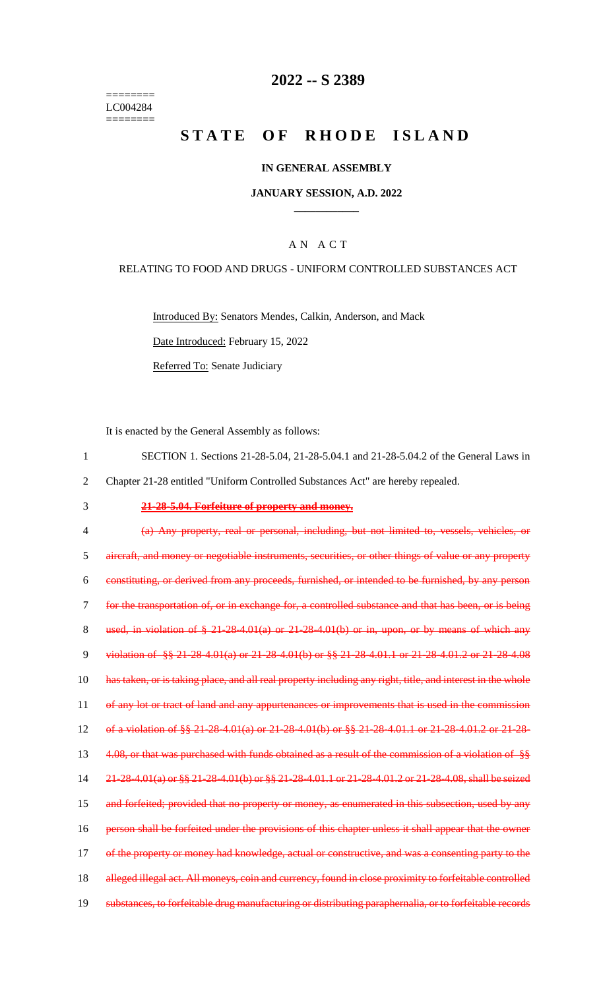======== LC004284 ========

### **2022 -- S 2389**

# **STATE OF RHODE ISLAND**

#### **IN GENERAL ASSEMBLY**

#### **JANUARY SESSION, A.D. 2022 \_\_\_\_\_\_\_\_\_\_\_\_**

### A N A C T

#### RELATING TO FOOD AND DRUGS - UNIFORM CONTROLLED SUBSTANCES ACT

Introduced By: Senators Mendes, Calkin, Anderson, and Mack Date Introduced: February 15, 2022

Referred To: Senate Judiciary

It is enacted by the General Assembly as follows:

| SECTION 1. Sections 21-28-5.04, 21-28-5.04.1 and 21-28-5.04.2 of the General Laws in |
|--------------------------------------------------------------------------------------|
| Chapter 21-28 entitled "Uniform Controlled Substances Act" are hereby repealed.      |

3 **21-28-5.04. Forfeiture of property and money.**

4 (a) Any property, real or personal, including, but not limited to, vessels, vehicles, or 5 aircraft, and money or negotiable instruments, securities, or other things of value or any property 6 constituting, or derived from any proceeds, furnished, or intended to be furnished, by any person 7 for the transportation of, or in exchange for, a controlled substance and that has been, or is being 8 used, in violation of  $\frac{8}{5}$  21-28-4.01(a) or 21-28-4.01(b) or in, upon, or by means of which any 9 violation of §§ 21-28-4.01(a) or 21-28-4.01(b) or §§ 21-28-4.01.1 or 21-28-4.01.2 or 21-28-4.08 10 has taken, or is taking place, and all real property including any right, title, and interest in the whole 11 of any lot or tract of land and any appurtenances or improvements that is used in the commission 12 of a violation of §§ 21-28-4.01(a) or 21-28-4.01(b) or §§ 21-28-4.01.1 or 21-28-4.01.2 or 21-28- 13 4.08, or that was purchased with funds obtained as a result of the commission of a violation of §§ 14 21-28-4.01(a) or §§ 21-28-4.01(b) or §§ 21-28-4.01.1 or 21-28-4.01.2 or 21-28-4.08, shall be seized 15 and forfeited; provided that no property or money, as enumerated in this subsection, used by any 16 person shall be forfeited under the provisions of this chapter unless it shall appear that the owner 17 of the property or money had knowledge, actual or constructive, and was a consenting party to the 18 alleged illegal act. All moneys, coin and currency, found in close proximity to forfeitable controlled 19 substances, to forfeitable drug manufacturing or distributing paraphernalia, or to forfeitable records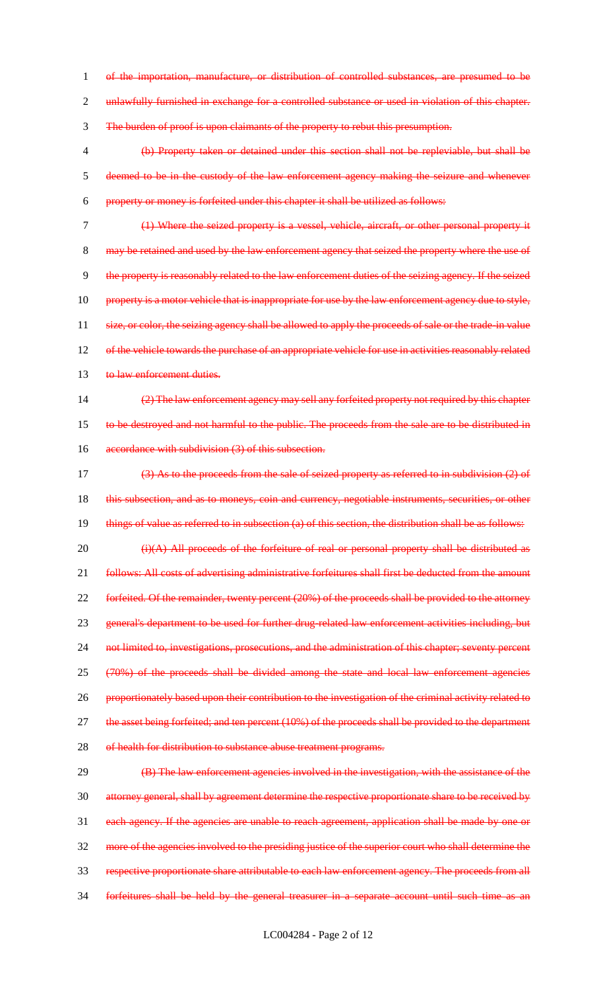1 of the importation, manufacture, or distribution of controlled substances, are presumed to be 2 unlawfully furnished in exchange for a controlled substance or used in violation of this chapter. 3 The burden of proof is upon claimants of the property to rebut this presumption. 4 (b) Property taken or detained under this section shall not be repleviable, but shall be 5 deemed to be in the custody of the law enforcement agency making the seizure and whenever 6 property or money is forfeited under this chapter it shall be utilized as follows: 7 (1) Where the seized property is a vessel, vehicle, aircraft, or other personal property it 8 may be retained and used by the law enforcement agency that seized the property where the use of 9 the property is reasonably related to the law enforcement duties of the seizing agency. If the seized 10 property is a motor vehicle that is inappropriate for use by the law enforcement agency due to style, 11 size, or color, the seizing agency shall be allowed to apply the proceeds of sale or the trade-in value 12 of the vehicle towards the purchase of an appropriate vehicle for use in activities reasonably related 13 to law enforcement duties. 14 (2) The law enforcement agency may sell any forfeited property not required by this chapter 15 to be destroyed and not harmful to the public. The proceeds from the sale are to be distributed in 16 accordance with subdivision (3) of this subsection. 17 (3) As to the proceeds from the sale of seized property as referred to in subdivision (2) of 18 this subsection, and as to moneys, coin and currency, negotiable instruments, securities, or other 19 things of value as referred to in subsection (a) of this section, the distribution shall be as follows: 20 (i)(A) All proceeds of the forfeiture of real or personal property shall be distributed as 21 follows: All costs of advertising administrative forfeitures shall first be deducted from the amount 22 forfeited. Of the remainder, twenty percent (20%) of the proceeds shall be provided to the attorney 23 general's department to be used for further drug-related law enforcement activities including, but 24 not limited to, investigations, prosecutions, and the administration of this chapter; seventy percent 25 (70%) of the proceeds shall be divided among the state and local law enforcement agencies 26 proportionately based upon their contribution to the investigation of the criminal activity related to 27 the asset being forfeited; and ten percent (10%) of the proceeds shall be provided to the department 28 of health for distribution to substance abuse treatment programs. 29 **(B)** The law enforcement agencies involved in the investigation, with the assistance of the 30 attorney general, shall by agreement determine the respective proportionate share to be received by 31 each agency. If the agencies are unable to reach agreement, application shall be made by one or 32 more of the agencies involved to the presiding justice of the superior court who shall determine the

33 respective proportionate share attributable to each law enforcement agency. The proceeds from all

34 forfeitures shall be held by the general treasurer in a separate account until such time as an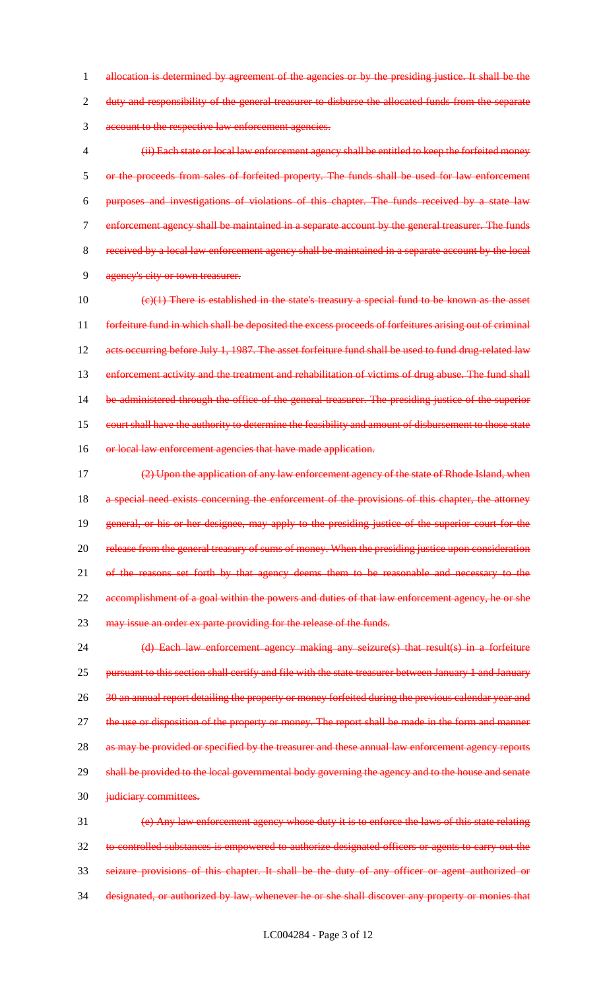1 allocation is determined by agreement of the agencies or by the presiding justice. It shall be the 2 duty and responsibility of the general treasurer to disburse the allocated funds from the separate 3 account to the respective law enforcement agencies.

 (ii) Each state or local law enforcement agency shall be entitled to keep the forfeited money or the proceeds from sales of forfeited property. The funds shall be used for law enforcement purposes and investigations of violations of this chapter. The funds received by a state law enforcement agency shall be maintained in a separate account by the general treasurer. The funds received by a local law enforcement agency shall be maintained in a separate account by the local agency's city or town treasurer.

 $10 \left( \frac{e}{1} \right)$  There is established in the state's treasury a special fund to be known as the asset 11 forfeiture fund in which shall be deposited the excess proceeds of forfeitures arising out of criminal 12 acts occurring before July 1, 1987. The asset forfeiture fund shall be used to fund drug-related law 13 enforcement activity and the treatment and rehabilitation of victims of drug abuse. The fund shall 14 be administered through the office of the general treasurer. The presiding justice of the superior 15 court shall have the authority to determine the feasibility and amount of disbursement to those state 16 or local law enforcement agencies that have made application.

17 (2) Upon the application of any law enforcement agency of the state of Rhode Island, when 18 a special need exists concerning the enforcement of the provisions of this chapter, the attorney 19 general, or his or her designee, may apply to the presiding justice of the superior court for the 20 release from the general treasury of sums of money. When the presiding justice upon consideration 21 of the reasons set forth by that agency deems them to be reasonable and necessary to the 22 accomplishment of a goal within the powers and duties of that law enforcement agency, he or she 23 may issue an order ex parte providing for the release of the funds.

24 (d) Each law enforcement agency making any seizure(s) that result(s) in a forfeiture 25 pursuant to this section shall certify and file with the state treasurer between January 1 and January 26 30 an annual report detailing the property or money forfeited during the previous calendar year and 27 the use or disposition of the property or money. The report shall be made in the form and manner 28 as may be provided or specified by the treasurer and these annual law enforcement agency reports 29 shall be provided to the local governmental body governing the agency and to the house and senate 30 judiciary committees. 31 (e) Any law enforcement agency whose duty it is to enforce the laws of this state relating

32 to controlled substances is empowered to authorize designated officers or agents to carry out the 33 seizure provisions of this chapter. It shall be the duty of any officer or agent authorized or 34 designated, or authorized by law, whenever he or she shall discover any property or monies that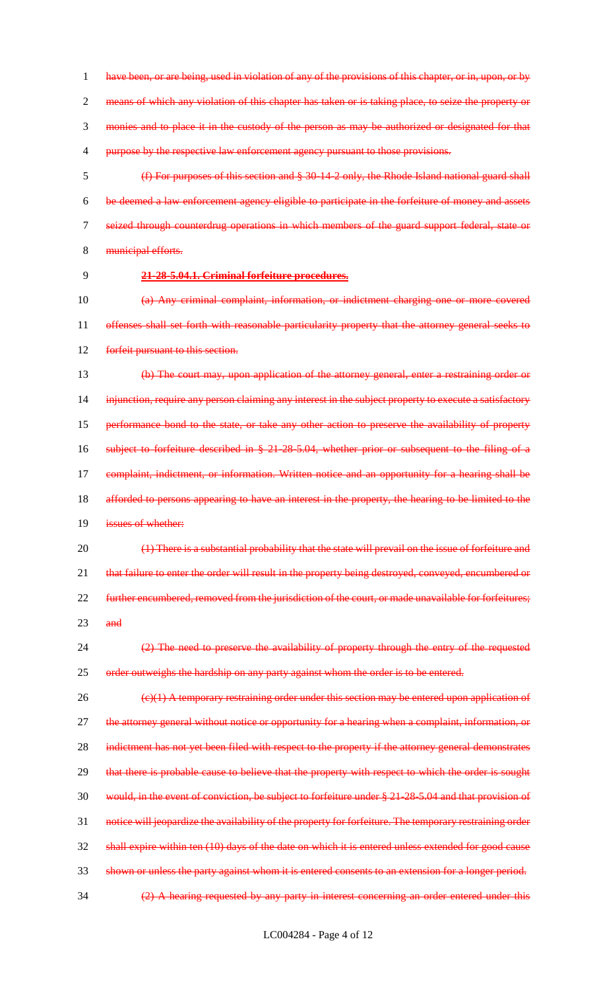1 have been, or are being, used in violation of any of the provisions of this chapter, or in, upon, or by means of which any violation of this chapter has taken or is taking place, to seize the property or monies and to place it in the custody of the person as may be authorized or designated for that 4 purpose by the respective law enforcement agency pursuant to those provisions. (f) For purposes of this section and § 30-14-2 only, the Rhode Island national guard shall be deemed a law enforcement agency eligible to participate in the forfeiture of money and assets seized through counterdrug operations in which members of the guard support federal, state or 8 municipal efforts. **21-28-5.04.1. Criminal forfeiture procedures.** (a) Any criminal complaint, information, or indictment charging one or more covered offenses shall set forth with reasonable particularity property that the attorney general seeks to 12 forfeit pursuant to this section. (b) The court may, upon application of the attorney general, enter a restraining order or 14 injunction, require any person claiming any interest in the subject property to execute a satisfactory performance bond to the state, or take any other action to preserve the availability of property subject to forfeiture described in § 21-28-5.04, whether prior or subsequent to the filing of a 17 complaint, indictment, or information. Written notice and an opportunity for a hearing shall be afforded to persons appearing to have an interest in the property, the hearing to be limited to the

**issues of whether:** 

 (1) There is a substantial probability that the state will prevail on the issue of forfeiture and 21 that failure to enter the order will result in the property being destroyed, conveyed, encumbered or 22 further encumbered, removed from the jurisdiction of the court, or made unavailable for forfeitures; and

 (2) The need to preserve the availability of property through the entry of the requested 25 order outweighs the hardship on any party against whom the order is to be entered.

 (c)(1) A temporary restraining order under this section may be entered upon application of 27 the attorney general without notice or opportunity for a hearing when a complaint, information, or 28 indictment has not yet been filed with respect to the property if the attorney general demonstrates 29 that there is probable cause to believe that the property with respect to which the order is sought would, in the event of conviction, be subject to forfeiture under § 21-28-5.04 and that provision of notice will jeopardize the availability of the property for forfeiture. The temporary restraining order shall expire within ten (10) days of the date on which it is entered unless extended for good cause shown or unless the party against whom it is entered consents to an extension for a longer period. (2) A hearing requested by any party in interest concerning an order entered under this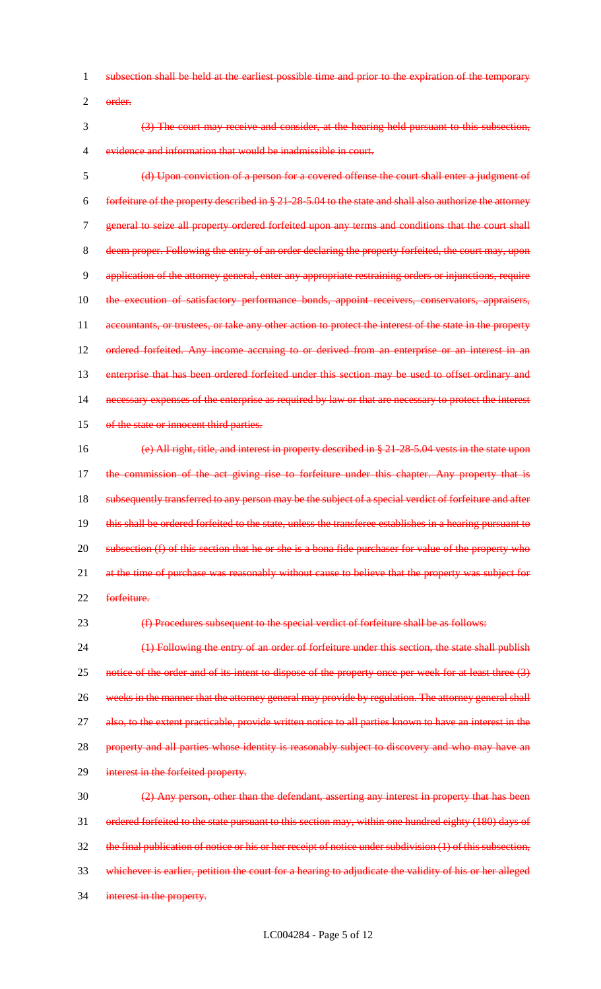- 1 subsection shall be held at the earliest possible time and prior to the expiration of the temporary
- 2 order.
- 3 (3) The court may receive and consider, at the hearing held pursuant to this subsection, 4 evidence and information that would be inadmissible in court.

5 (d) Upon conviction of a person for a covered offense the court shall enter a judgment of 6 forfeiture of the property described in § 21-28-5.04 to the state and shall also authorize the attorney 7 general to seize all property ordered forfeited upon any terms and conditions that the court shall 8 deem proper. Following the entry of an order declaring the property forfeited, the court may, upon 9 application of the attorney general, enter any appropriate restraining orders or injunctions, require 10 the execution of satisfactory performance bonds, appoint receivers, conservators, appraisers, 11 accountants, or trustees, or take any other action to protect the interest of the state in the property 12 ordered forfeited. Any income accruing to or derived from an enterprise or an interest in an 13 enterprise that has been ordered forfeited under this section may be used to offset ordinary and 14 necessary expenses of the enterprise as required by law or that are necessary to protect the interest 15 of the state or innocent third parties. 16 (e) All right, title, and interest in property described in § 21-28-5.04 vests in the state upon

17 the commission of the act giving rise to forfeiture under this chapter. Any property that is 18 subsequently transferred to any person may be the subject of a special verdict of forfeiture and after 19 this shall be ordered forfeited to the state, unless the transferee establishes in a hearing pursuant to 20 subsection (f) of this section that he or she is a bona fide purchaser for value of the property who 21 at the time of purchase was reasonably without cause to believe that the property was subject for 22 forfeiture.

23 (f) Procedures subsequent to the special verdict of forfeiture shall be as follows:

24 (1) Following the entry of an order of forfeiture under this section, the state shall publish 25 notice of the order and of its intent to dispose of the property once per week for at least three (3) 26 weeks in the manner that the attorney general may provide by regulation. The attorney general shall 27 also, to the extent practicable, provide written notice to all parties known to have an interest in the 28 property and all parties whose identity is reasonably subject to discovery and who may have an 29 interest in the forfeited property. 30 (2) Any person, other than the defendant, asserting any interest in property that has been

 ordered forfeited to the state pursuant to this section may, within one hundred eighty (180) days of the final publication of notice or his or her receipt of notice under subdivision (1) of this subsection, whichever is earlier, petition the court for a hearing to adjudicate the validity of his or her alleged interest in the property.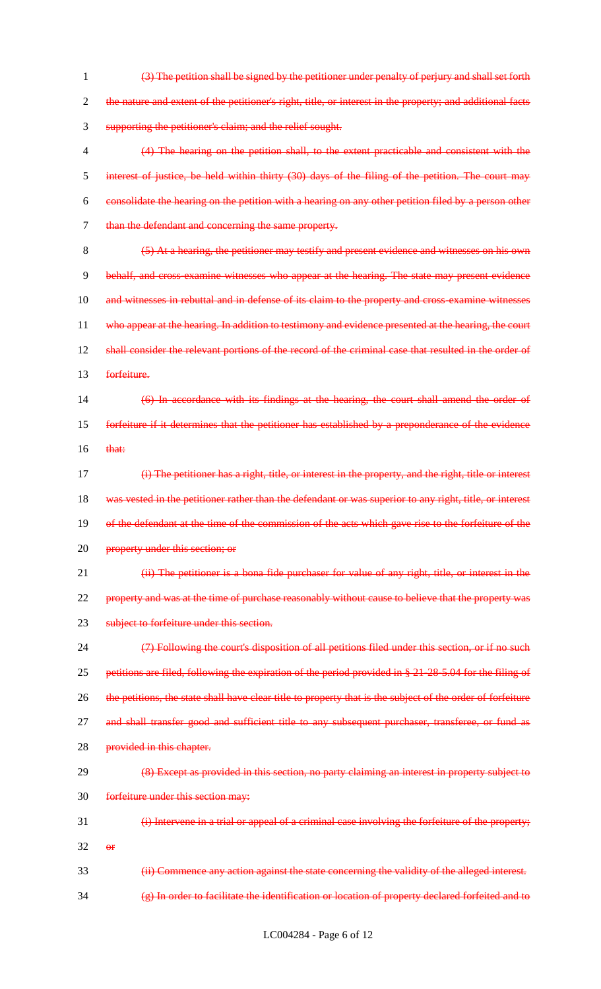1 (3) The petition shall be signed by the petitioner under penalty of perjury and shall set forth 2 the nature and extent of the petitioner's right, title, or interest in the property; and additional facts 3 supporting the petitioner's claim; and the relief sought. 4 (4) The hearing on the petition shall, to the extent practicable and consistent with the 5 interest of justice, be held within thirty (30) days of the filing of the petition. The court may 6 consolidate the hearing on the petition with a hearing on any other petition filed by a person other 7 than the defendant and concerning the same property. 8 (5) At a hearing, the petitioner may testify and present evidence and witnesses on his own 9 behalf, and cross-examine witnesses who appear at the hearing. The state may present evidence 10 and witnesses in rebuttal and in defense of its claim to the property and cross-examine witnesses 11 who appear at the hearing. In addition to testimony and evidence presented at the hearing, the court 12 shall consider the relevant portions of the record of the criminal case that resulted in the order of 13 forfeiture. 14 (6) In accordance with its findings at the hearing, the court shall amend the order of 15 forfeiture if it determines that the petitioner has established by a preponderance of the evidence  $16$  that: 17 (i) The petitioner has a right, title, or interest in the property, and the right, title or interest 18 was vested in the petitioner rather than the defendant or was superior to any right, title, or interest 19 of the defendant at the time of the commission of the acts which gave rise to the forfeiture of the 20 property under this section; or 21 (ii) The petitioner is a bona fide purchaser for value of any right, title, or interest in the 22 property and was at the time of purchase reasonably without cause to believe that the property was 23 subject to forfeiture under this section. 24 (7) Following the court's disposition of all petitions filed under this section, or if no such 25 petitions are filed, following the expiration of the period provided in § 21-28-5.04 for the filing of 26 the petitions, the state shall have clear title to property that is the subject of the order of forfeiture 27 and shall transfer good and sufficient title to any subsequent purchaser, transferee, or fund as 28 provided in this chapter. 29 (8) Except as provided in this section, no party claiming an interest in property subject to 30 forfeiture under this section may: 31 (i) Intervene in a trial or appeal of a criminal case involving the forfeiture of the property;  $32$  or 33 (ii) Commence any action against the state concerning the validity of the alleged interest. 34 (g) In order to facilitate the identification or location of property declared forfeited and to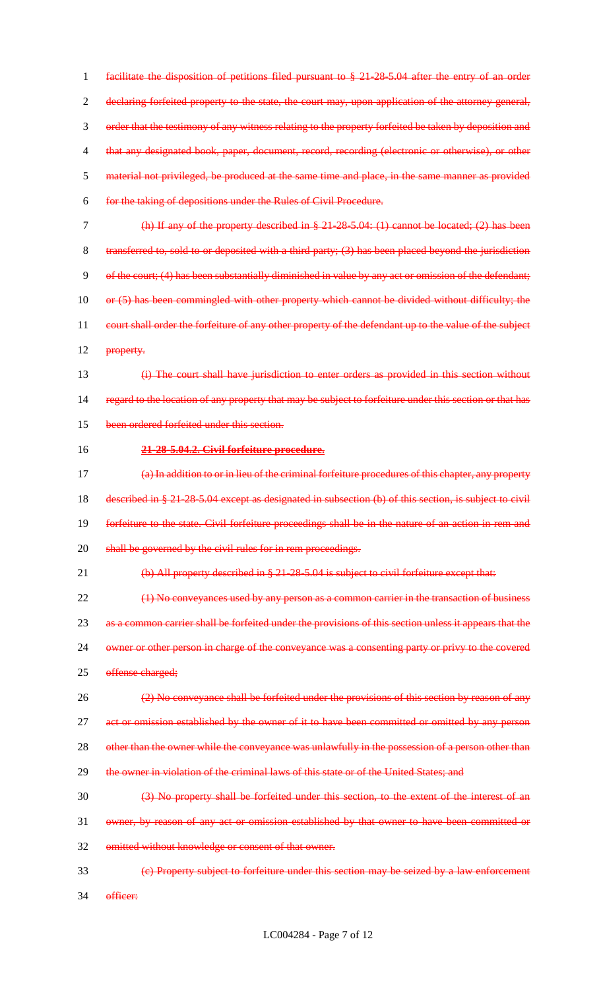1 facilitate the disposition of petitions filed pursuant to § 21-28-5.04 after the entry of an order 2 declaring forfeited property to the state, the court may, upon application of the attorney general, 3 order that the testimony of any witness relating to the property forfeited be taken by deposition and 4 that any designated book, paper, document, record, recording (electronic or otherwise), or other 5 material not privileged, be produced at the same time and place, in the same manner as provided 6 for the taking of depositions under the Rules of Civil Procedure. 7 (h) If any of the property described in § 21-28-5.04: (1) cannot be located; (2) has been 8 transferred to, sold to or deposited with a third party; (3) has been placed beyond the jurisdiction 9 of the court; (4) has been substantially diminished in value by any act or omission of the defendant; 10 or (5) has been commingled with other property which cannot be divided without difficulty; the 11 court shall order the forfeiture of any other property of the defendant up to the value of the subject 12 <del>property.</del> 13 (i) The court shall have jurisdiction to enter orders as provided in this section without 14 regard to the location of any property that may be subject to forfeiture under this section or that has 15 been ordered forfeited under this section. 16 **21-28-5.04.2. Civil forfeiture procedure.** 17 (a) In addition to or in lieu of the criminal forfeiture procedures of this chapter, any property 18 described in § 21-28-5.04 except as designated in subsection (b) of this section, is subject to civil 19 forfeiture to the state. Civil forfeiture proceedings shall be in the nature of an action in rem and 20 shall be governed by the civil rules for in rem proceedings. 21 (b) All property described in § 21-28-5.04 is subject to civil forfeiture except that: 22 (1) No conveyances used by any person as a common carrier in the transaction of business 23 as a common carrier shall be forfeited under the provisions of this section unless it appears that the 24 owner or other person in charge of the conveyance was a consenting party or privy to the covered 25 offense charged; 26 (2) No conveyance shall be forfeited under the provisions of this section by reason of any 27 act or omission established by the owner of it to have been committed or omitted by any person 28 other than the owner while the conveyance was unlawfully in the possession of a person other than 29 the owner in violation of the criminal laws of this state or of the United States; and 30 (3) No property shall be forfeited under this section, to the extent of the interest of an 31 owner, by reason of any act or omission established by that owner to have been committed or 32 omitted without knowledge or consent of that owner. 33 (c) Property subject to forfeiture under this section may be seized by a law enforcement 34 officer: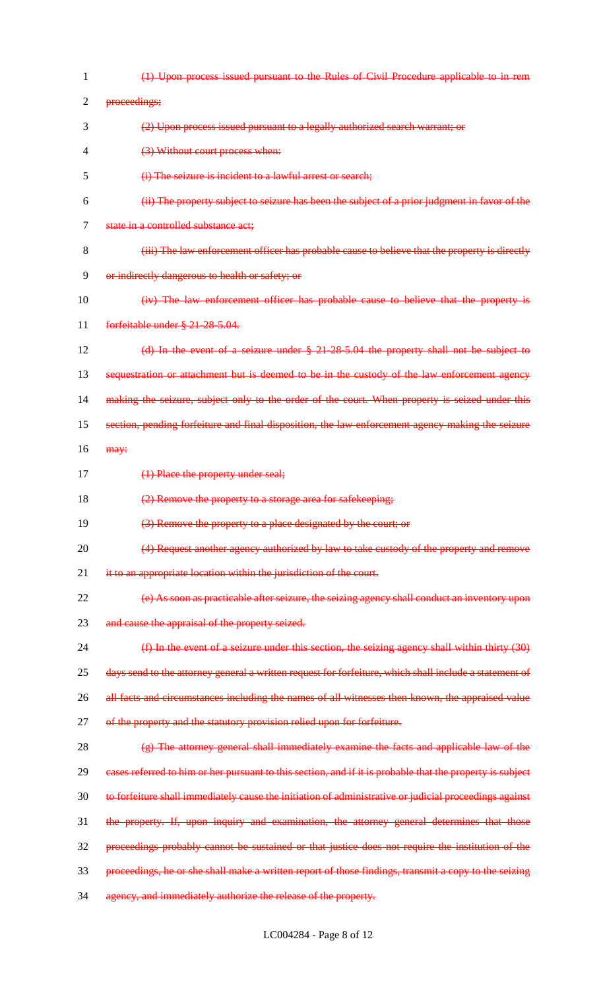| 1              | (1) Upon process issued pursuant to the Rules of Civil Procedure applicable to in rem                     |
|----------------|-----------------------------------------------------------------------------------------------------------|
| $\overline{2}$ | proceedings;                                                                                              |
| 3              | (2) Upon process issued pursuant to a legally authorized search warrant; or                               |
| 4              | (3) Without court process when:                                                                           |
| 5              | (i) The seizure is incident to a lawful arrest or search;                                                 |
| 6              | (ii) The property subject to seizure has been the subject of a prior judgment in favor of the             |
| 7              | state in a controlled substance act;                                                                      |
| 8              | (iii) The law enforcement officer has probable cause to believe that the property is directly             |
| 9              | or indirectly dangerous to health or safety; or                                                           |
| 10             | (iv) The law enforcement officer has probable cause to believe that the property is                       |
| 11             | forfeitable under § 21-28-5.04.                                                                           |
| 12             | (d) In the event of a seizure under § 21-28-5.04 the property shall not be subject to                     |
| 13             | sequestration or attachment but is deemed to be in the custody of the law enforcement agency              |
| 14             | making the seizure, subject only to the order of the court. When property is seized under this            |
| 15             | section, pending forfeiture and final disposition, the law enforcement agency making the seizure          |
| 16             | may:                                                                                                      |
| 17             | (1) Place the property under seal;                                                                        |
| 18             | (2) Remove the property to a storage area for safekeeping;                                                |
| 19             | (3) Remove the property to a place designated by the court; or                                            |
| 20             | (4) Request another agency authorized by law to take custody of the property and remove                   |
| 21             | it to an appropriate location within the jurisdiction of the court.                                       |
| 22             | (e) As soon as practicable after seizure, the seizing agency shall conduct an inventory upon              |
| 23             | and cause the appraisal of the property seized.                                                           |
| 24             | (f) In the event of a seizure under this section, the seizing agency shall within thirty (30)             |
| 25             | days send to the attorney general a written request for forfeiture, which shall include a statement of    |
| 26             | all facts and circumstances including the names of all witnesses then known, the appraised value          |
| 27             | of the property and the statutory provision relied upon for forfeiture.                                   |
| 28             | (g) The attorney general shall immediately examine the facts and applicable law of the                    |
| 29             | eases referred to him or her pursuant to this section, and if it is probable that the property is subject |
| 30             | to forfeiture shall immediately cause the initiation of administrative or judicial proceedings against    |
| 31             | the property. If, upon inquiry and examination, the attorney general determines that those                |
| 32             | proceedings probably cannot be sustained or that justice does not require the institution of the          |
| 33             | proceedings, he or she shall make a written report of those findings, transmit a copy to the seizing      |
| 34             | agency, and immediately authorize the release of the property.                                            |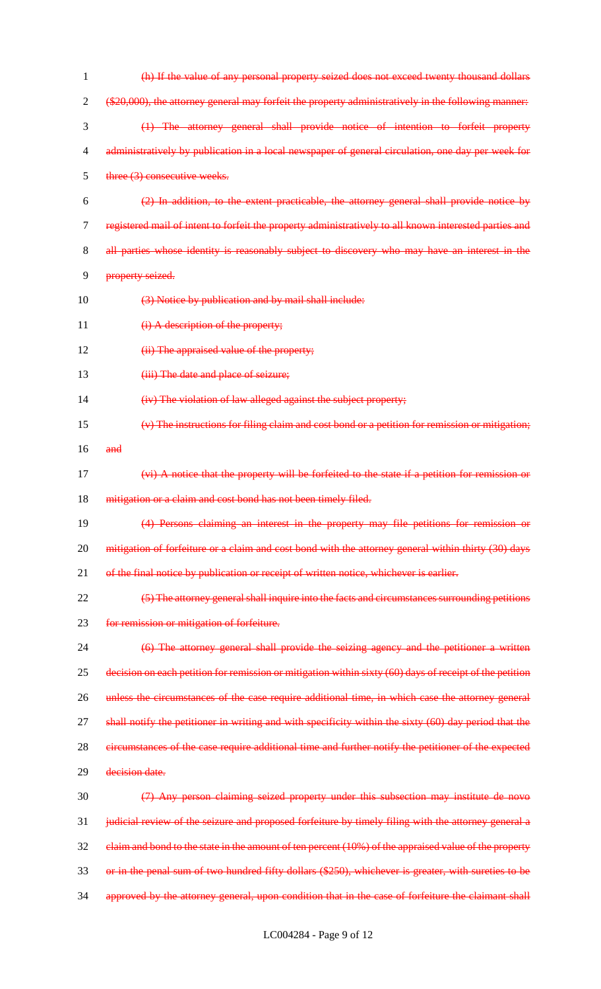| $\mathbf{1}$ | (h) If the value of any personal property seized does not exceed twenty thousand dollars                |
|--------------|---------------------------------------------------------------------------------------------------------|
| 2            | (\$20,000), the attorney general may forfeit the property administratively in the following manner:     |
| 3            | (1) The attorney general shall provide notice of intention to forfeit property                          |
| 4            | administratively by publication in a local newspaper of general circulation, one day per week for       |
| 5            | three (3) consecutive weeks.                                                                            |
| 6            | (2) In addition, to the extent practicable, the attorney general shall provide notice by                |
| 7            | registered mail of intent to forfeit the property administratively to all known interested parties and  |
| 8            | all parties whose identity is reasonably subject to discovery who may have an interest in the           |
| 9            | property seized.                                                                                        |
| 10           | (3) Notice by publication and by mail shall include:                                                    |
| 11           | (i) A description of the property;                                                                      |
| 12           | (ii) The appraised value of the property;                                                               |
| 13           | (iii) The date and place of seizure;                                                                    |
| 14           | (iv) The violation of law alleged against the subject property;                                         |
| 15           | $(v)$ The instructions for filing claim and cost bond or a petition for remission or mitigation;        |
| 16           | and                                                                                                     |
| 17           | (vi) A notice that the property will be forfeited to the state if a petition for remission or           |
| 18           | mitigation or a claim and cost bond has not been timely filed.                                          |
| 19           | (4) Persons claiming an interest in the property may file petitions for remission or                    |
| 20           | mitigation of forfeiture or a claim and cost bond with the attorney general within thirty (30) days     |
| 21           | of the final notice by publication or receipt of written notice, whichever is earlier.                  |
| 22           | (5) The attorney general shall inquire into the facts and circumstances surrounding petitions           |
| 23           | for remission or mitigation of forfeiture.                                                              |
| 24           | (6) The attorney general shall provide the seizing agency and the petitioner a written                  |
| 25           | decision on each petition for remission or mitigation within sixty (60) days of receipt of the petition |
| 26           | unless the circumstances of the case require additional time, in which case the attorney general        |
| 27           | shall notify the petitioner in writing and with specificity within the sixty (60) day period that the   |
| 28           | circumstances of the case require additional time and further notify the petitioner of the expected     |
| 29           | decision date.                                                                                          |
| 30           | (7) Any person claiming seized property under this subsection may institute de novo                     |
| 31           | judicial review of the seizure and proposed forfeiture by timely filing with the attorney general a     |
| 32           | claim and bond to the state in the amount of ten percent (10%) of the appraised value of the property   |
| 33           | or in the penal sum of two hundred fifty dollars (\$250), whichever is greater, with sureties to be     |
| 34           | approved by the attorney general, upon condition that in the case of forfeiture the claimant shall      |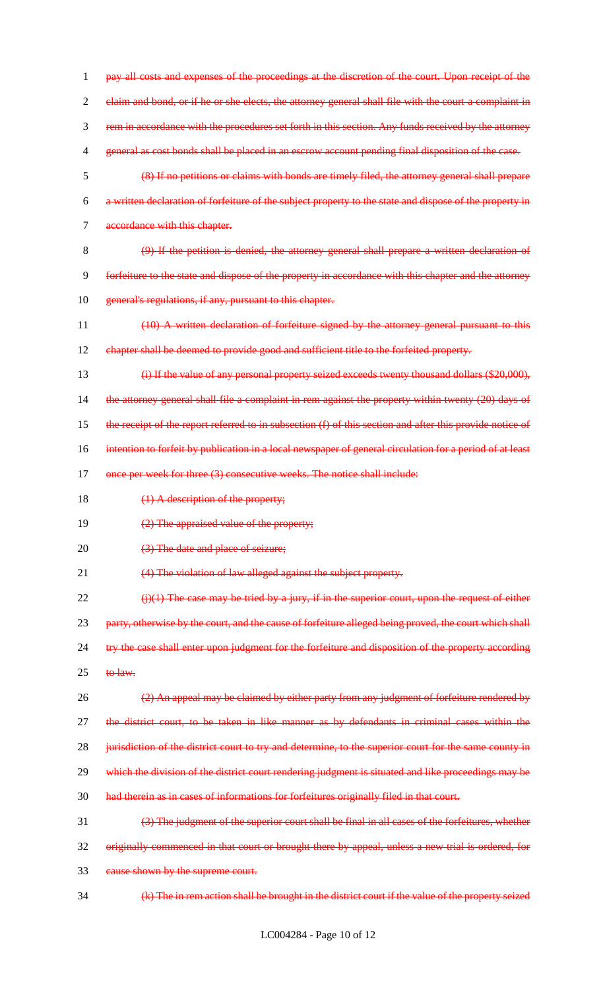1 pay all costs and expenses of the proceedings at the discretion of the court. Upon receipt of the 2 claim and bond, or if he or she elects, the attorney general shall file with the court a complaint in 3 rem in accordance with the procedures set forth in this section. Any funds received by the attorney 4 general as cost bonds shall be placed in an escrow account pending final disposition of the case. 5 (8) If no petitions or claims with bonds are timely filed, the attorney general shall prepare 6 a written declaration of forfeiture of the subject property to the state and dispose of the property in 7 accordance with this chapter. 8 (9) If the petition is denied, the attorney general shall prepare a written declaration of 9 forfeiture to the state and dispose of the property in accordance with this chapter and the attorney 10 general's regulations, if any, pursuant to this chapter. 11 (10) A written declaration of forfeiture signed by the attorney general pursuant to this 12 chapter shall be deemed to provide good and sufficient title to the forfeited property. 13 (i) If the value of any personal property seized exceeds twenty thousand dollars (\$20,000), 14 the attorney general shall file a complaint in rem against the property within twenty (20) days of 15 the receipt of the report referred to in subsection (f) of this section and after this provide notice of 16 intention to forfeit by publication in a local newspaper of general circulation for a period of at least 17 once per week for three (3) consecutive weeks. The notice shall include: 18 (1) A description of the property; 19 (2) The appraised value of the property; 20 (3) The date and place of seizure; 21 (4) The violation of law alleged against the subject property.  $22$  (j)(1) The case may be tried by a jury, if in the superior court, upon the request of either 23 party, otherwise by the court, and the cause of forfeiture alleged being proved, the court which shall 24 try the case shall enter upon judgment for the forfeiture and disposition of the property according  $25$  to law. 26 (2) An appeal may be claimed by either party from any judgment of forfeiture rendered by 27 the district court, to be taken in like manner as by defendants in criminal cases within the 28 jurisdiction of the district court to try and determine, to the superior court for the same county in 29 which the division of the district court rendering judgment is situated and like proceedings may be 30 had therein as in cases of informations for forfeitures originally filed in that court. 31 (3) The judgment of the superior court shall be final in all cases of the forfeitures, whether 32 originally commenced in that court or brought there by appeal, unless a new trial is ordered, for 33 cause shown by the supreme court. 34 (k) The in rem action shall be brought in the district court if the value of the property seized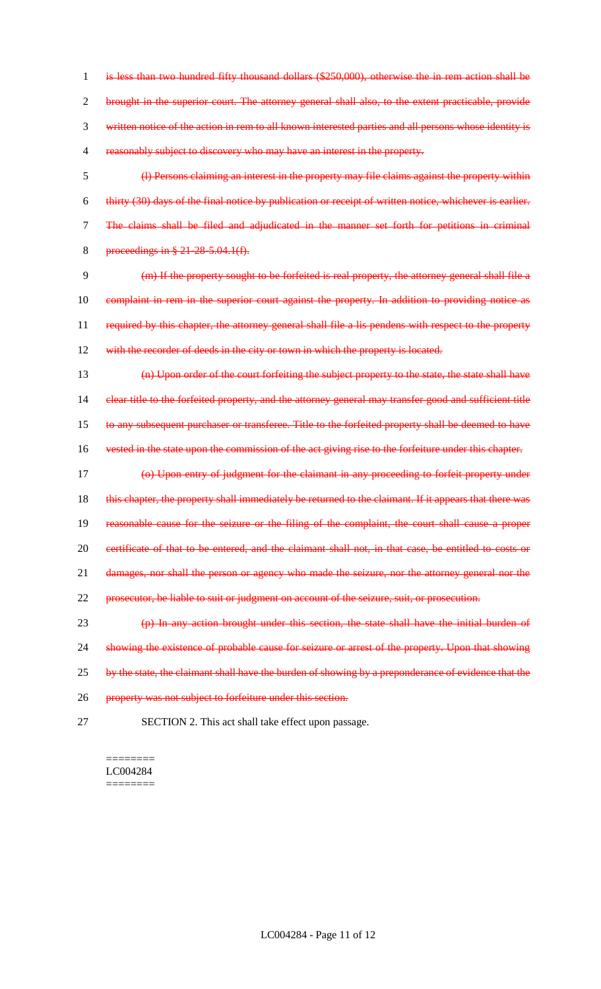is less than two hundred fifty thousand dollars (\$250,000), otherwise the in rem action shall be brought in the superior court. The attorney general shall also, to the extent practicable, provide written notice of the action in rem to all known interested parties and all persons whose identity is reasonably subject to discovery who may have an interest in the property.

 (l) Persons claiming an interest in the property may file claims against the property within thirty (30) days of the final notice by publication or receipt of written notice, whichever is earlier. The claims shall be filed and adjudicated in the manner set forth for petitions in criminal proceedings in § 21-28-5.04.1(f).

9 (m) If the property sought to be forfeited is real property, the attorney general shall file a 10 complaint in rem in the superior court against the property. In addition to providing notice as 11 required by this chapter, the attorney general shall file a lis pendens with respect to the property 12 with the recorder of deeds in the city or town in which the property is located.

 (n) Upon order of the court forfeiting the subject property to the state, the state shall have 14 clear title to the forfeited property, and the attorney general may transfer good and sufficient title to any subsequent purchaser or transferee. Title to the forfeited property shall be deemed to have vested in the state upon the commission of the act giving rise to the forfeiture under this chapter.

 (o) Upon entry of judgment for the claimant in any proceeding to forfeit property under 18 this chapter, the property shall immediately be returned to the claimant. If it appears that there was reasonable cause for the seizure or the filing of the complaint, the court shall cause a proper 20 certificate of that to be entered, and the claimant shall not, in that case, be entitled to costs or damages, nor shall the person or agency who made the seizure, nor the attorney general nor the prosecutor, be liable to suit or judgment on account of the seizure, suit, or prosecution.

23 (p) In any action brought under this section, the state shall have the initial burden of 24 showing the existence of probable cause for seizure or arrest of the property. Upon that showing 25 by the state, the claimant shall have the burden of showing by a preponderance of evidence that the 26 property was not subject to forfeiture under this section.

27 SECTION 2. This act shall take effect upon passage.

#### ======== LC004284 ========

LC004284 - Page 11 of 12